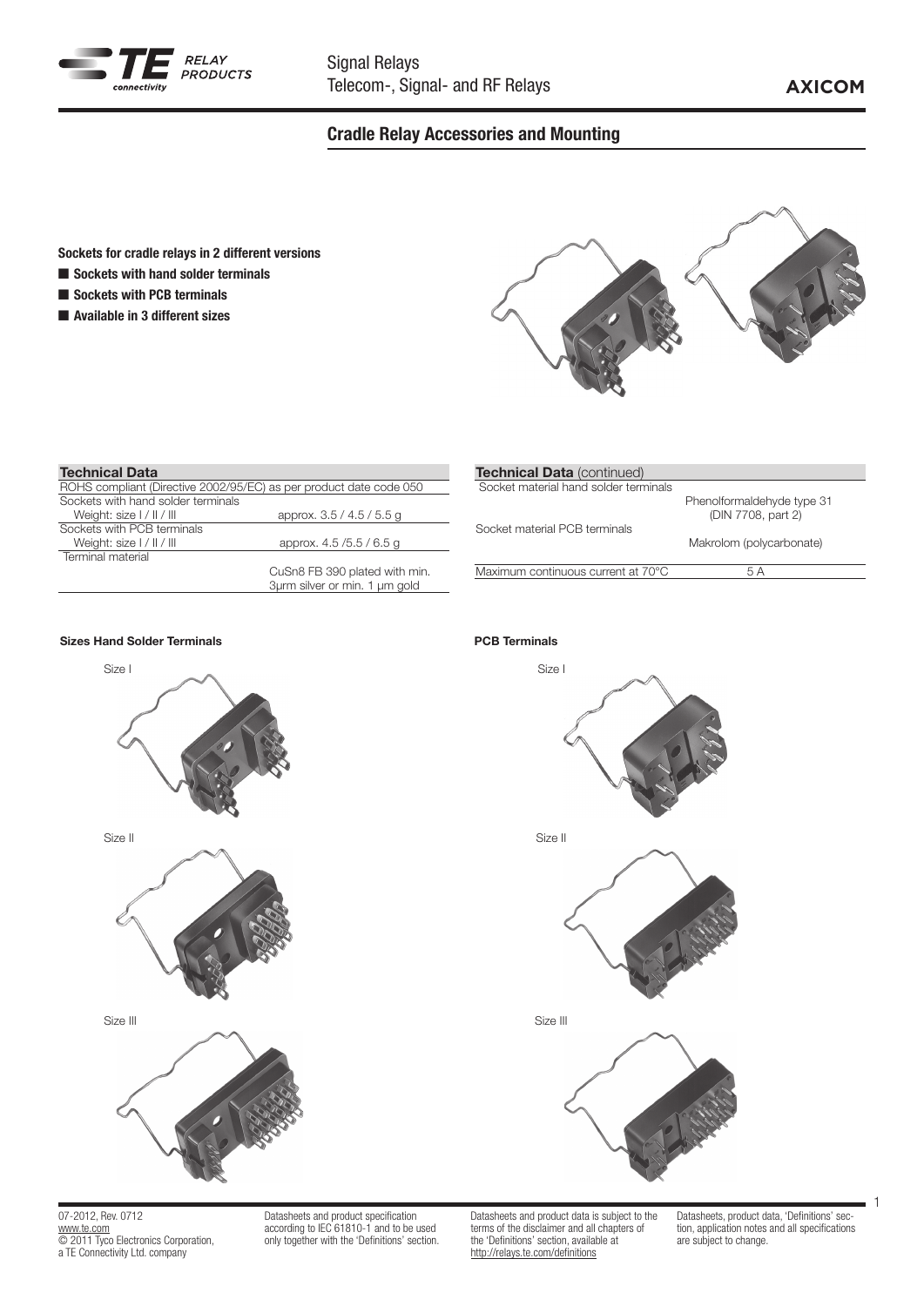

# Cradle Relay Accessories and Mounting

## Sockets for cradle relays in 2 different versions

- $\blacksquare$  Sockets with hand solder terminals
- Sockets with PCB terminals
- $\blacksquare$  Available in 3 different sizes



## Technical Data

| ROHS compliant (Directive 2002/95/EC) as per product date code 050 |                               |
|--------------------------------------------------------------------|-------------------------------|
| Sockets with hand solder terminals                                 |                               |
| Weight: size I / II / III                                          | approx. 3.5 / 4.5 / 5.5 g     |
| Sockets with PCB terminals                                         |                               |
| Weight: size I / II / III                                          | approx. 4.5/5.5/6.5 g         |
| Terminal material                                                  |                               |
|                                                                    | CuSn8 FB 390 plated with min. |
|                                                                    | 3urm silver or min. 1 um gold |
|                                                                    |                               |

| <b>Technical Data</b> (continued)     |                                                  |
|---------------------------------------|--------------------------------------------------|
| Socket material hand solder terminals |                                                  |
|                                       | Phenolformaldehyde type 31<br>(DIN 7708, part 2) |
| Socket material PCB terminals         |                                                  |
|                                       | Makrolom (polycarbonate)                         |
| Maximum continuous current at 70°C    | 5 A                                              |
|                                       |                                                  |

## Sizes Hand Solder Terminals PCB Terminals



07-2012, Rev. 0712 www.te.com © 2011 Tyco Electronics Corporation, a TE Connectivity Ltd. company

Datasheets and product specification according to IEC 61810-1 and to be used only together with the 'Definitions' section. Datasheets and product data is subject to the terms of the disclaimer and all chapters of the 'Definitions' section, available at http://relays.te.com/definitions

Datasheets, product data, 'Definitions' section, application notes and all specifications are subject to change.



1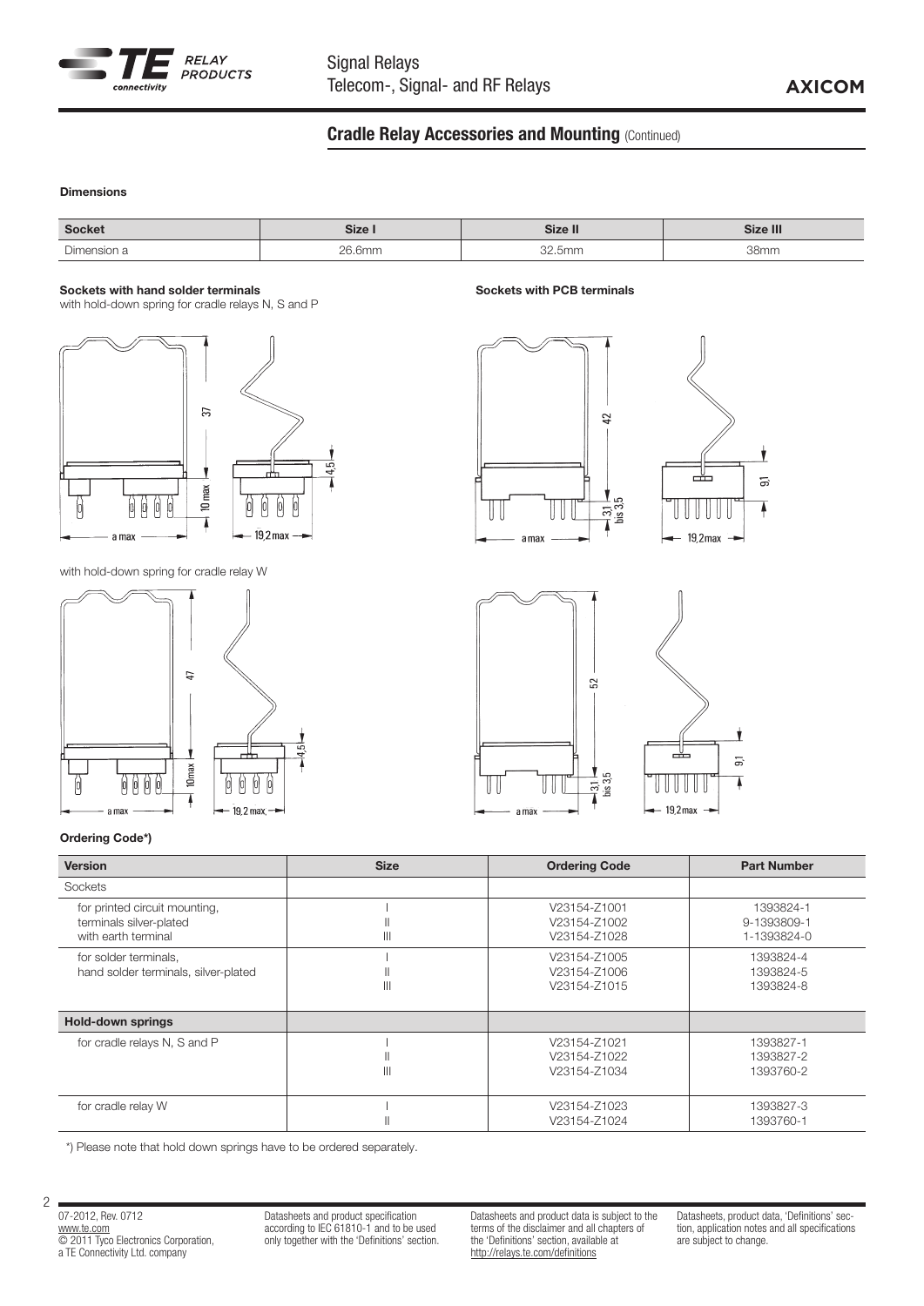

# **Cradle Relay Accessories and Mounting (Continued)**

Sockets with PCB terminals

## Dimensions

| Socket                  | $P_{\text{max}}$<br>orze. |     | <br>$21 - 2$<br>ze II⊾ |
|-------------------------|---------------------------|-----|------------------------|
| $\sim$<br>)imaneir<br>. | $\cap$<br>`mm             | bmm | 20mr                   |

#### Sockets with hand solder terminals

with hold-down spring for cradle relays N, S and P



with hold-down spring for cradle relay W







## Ordering Code\*)

| <b>Version</b>                                                                  | <b>Size</b>  | <b>Ordering Code</b>                         | <b>Part Number</b>                      |
|---------------------------------------------------------------------------------|--------------|----------------------------------------------|-----------------------------------------|
| Sockets                                                                         |              |                                              |                                         |
| for printed circuit mounting,<br>terminals silver-plated<br>with earth terminal | $\mathbb{H}$ | V23154-Z1001<br>V23154-Z1002<br>V23154-Z1028 | 1393824-1<br>9-1393809-1<br>1-1393824-0 |
| for solder terminals,<br>hand solder terminals, silver-plated                   | $\mathbb{I}$ | V23154-Z1005<br>V23154-Z1006<br>V23154-Z1015 | 1393824-4<br>1393824-5<br>1393824-8     |
| <b>Hold-down springs</b>                                                        |              |                                              |                                         |
| for cradle relays N, S and P                                                    | $\mathbb{I}$ | V23154-Z1021<br>V23154-Z1022<br>V23154-Z1034 | 1393827-1<br>1393827-2<br>1393760-2     |
| for cradle relay W                                                              |              | V23154-Z1023<br>V23154-Z1024                 | 1393827-3<br>1393760-1                  |

\*) Please note that hold down springs have to be ordered separately.

07-2012, Rev. 0712 www.te.com © 2011 Tyco Electronics Corporation, a TE Connectivity Ltd. company

2

Datasheets and product specification according to IEC 61810-1 and to be used only together with the 'Definitions' section. Datasheets and product data is subject to the terms of the disclaimer and all chapters of the 'Definitions' section, available at http://relays.te.com/definitions

Datasheets, product data, 'Definitions' section, application notes and all specifications are subject to change.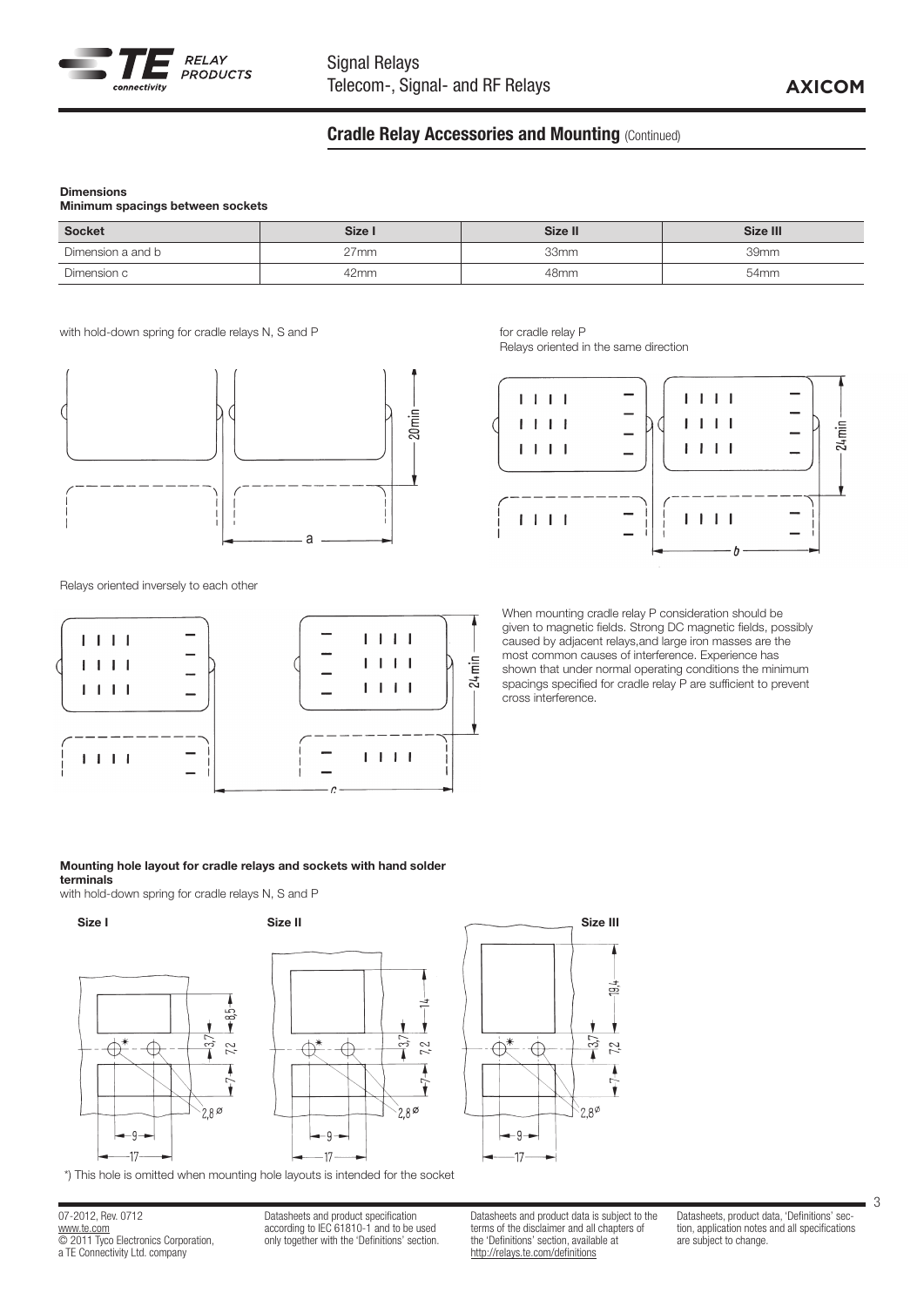

# **Cradle Relay Accessories and Mounting (Continued)**

## Dimensions

| Minimum spacings between sockets |  |  |
|----------------------------------|--|--|
|----------------------------------|--|--|

| <b>Socket</b>     | Size I  | Size II          | Size III |
|-------------------|---------|------------------|----------|
| Dimension a and b | $27$ mm | 33mm             | 39mm     |
| Dimension c       | 42mm    | 48 <sub>mm</sub> | 54mm     |

with hold-down spring for cradle relays N, S and P for cradle relay P for cradle relay P



Relays oriented inversely to each other



Relays oriented in the same direction



When mounting cradle relay P consideration should be given to magnetic fields. Strong DC magnetic fields, possibly caused by adjacent relays,and large iron masses are the most common causes of interference. Experience has shown that under normal operating conditions the minimum spacings specified for cradle relay P are sufficient to prevent cross interference.

#### Mounting hole layout for cradle relays and sockets with hand solder terminals

with hold-down spring for cradle relays N, S and P





\*) This hole is omitted when mounting hole layouts is intended for the socket

07-2012, Rev. 0712 www.te.com © 2011 Tyco Electronics Corporation, a TE Connectivity Ltd. company

Datasheets and product specification according to IEC 61810-1 and to be used only together with the 'Definitions' section. Datasheets and product data is subject to the terms of the disclaimer and all chapters of the 'Definitions' section, available at http://relays.te.com/definitions

 $\overline{\bigoplus^*}$ 

 $-9 -$ 

-17

↔

 $\Xi$ 

N

v

3 7,2

 $2.8^\phi$ 

Datasheets, product data, 'Definitions' section, application notes and all specifications are subject to change.

3